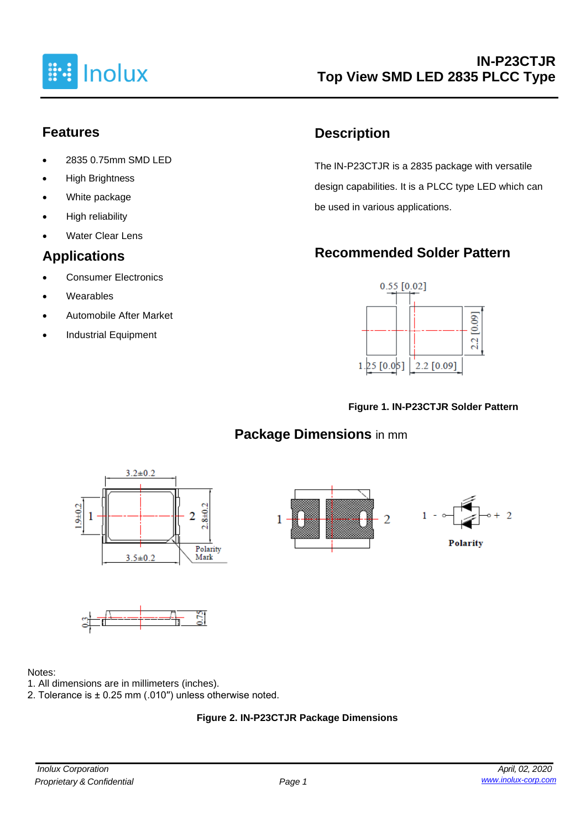

#### **Features**

- 2835 0.75mm SMD LED
- High Brightness
- White package
- High reliability
- **Water Clear Lens**

### **Applications**

- Consumer Electronics
- **Wearables**
- Automobile After Market
- Industrial Equipment

# **Description**

The IN-P23CTJR is a 2835 package with versatile design capabilities. It is a PLCC type LED which can be used in various applications.

# **Recommended Solder Pattern**



#### **Figure 1. IN-P23CTJR Solder Pattern**

## **Package Dimensions** in mm







#### Notes:

- 1. All dimensions are in millimeters (inches).
- 2. Tolerance is ± 0.25 mm (.010′′) unless otherwise noted.

#### **Figure 2. IN-P23CTJR Package Dimensions**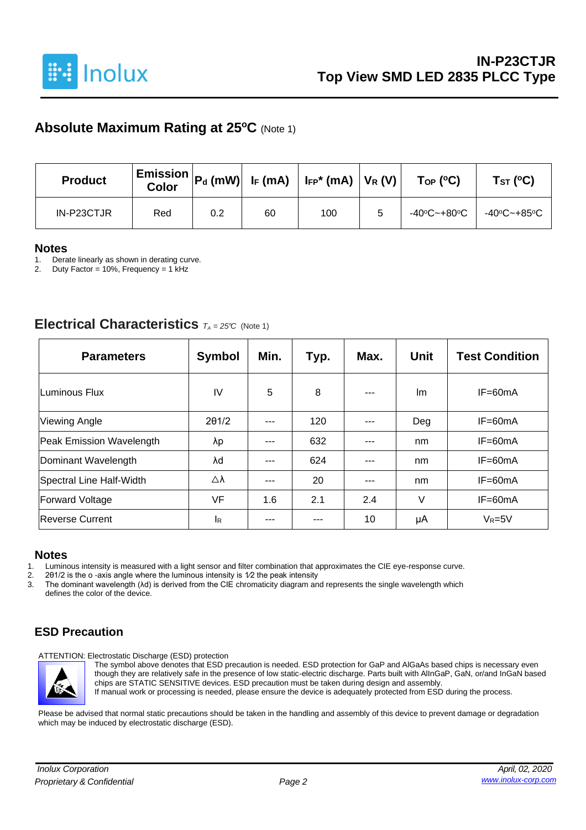

#### **Absolute Maximum Rating at 25<sup>o</sup>C** (Note 1)

| <b>Product</b> | <b>Color</b> |     |    | $\mid$ Emission $\mid$ P $_{\sf d}$ (mW) $\mid$ I <sub>F</sub> (mA) $\mid$ I <sub>FP</sub> * (mA) $\mid$ V <sub>R</sub> (V) $\mid$ | $\mathsf{Top}$ (°C) | TsT (°C)                                                                          |
|----------------|--------------|-----|----|------------------------------------------------------------------------------------------------------------------------------------|---------------------|-----------------------------------------------------------------------------------|
| IN-P23CTJR     | Red          | 0.2 | 60 | 100                                                                                                                                |                     | $-40^{\circ}$ C $\sim$ +80 $^{\circ}$ C   $-40^{\circ}$ C $\sim$ +85 $^{\circ}$ C |

#### **Notes**

1. Derate linearly as shown in derating curve.<br>2. Duty Factor = 10%. Frequency = 1 kHz

Duty Factor = 10%, Frequency = 1 kHz

#### **Electrical Characteristics**  $T_A = 25^\circ C$  (Note 1)

| <b>Parameters</b>        | <b>Symbol</b> | Min. | Typ. | Max.    | <b>Unit</b> | <b>Test Condition</b> |
|--------------------------|---------------|------|------|---------|-------------|-----------------------|
| lLuminous Flux           | IV            | 5    | 8    | $- - -$ | lm.         | $IF=60mA$             |
| <b>Viewing Angle</b>     | 201/2         |      | 120  |         | Deg         | $IF=60mA$             |
| Peak Emission Wavelength | λp            | ---  | 632  | ---     | nm          | $IF=60mA$             |
| Dominant Wavelength      | λd            | ---  | 624  | ---     | nm          | $IF=60mA$             |
| Spectral Line Half-Width | Δλ            | ---  | 20   | ---     | nm          | $IF=60mA$             |
| <b>Forward Voltage</b>   | VF            | 1.6  | 2.1  | 2.4     | V           | $IF=60mA$             |
| Reverse Current          | <b>I</b> R    |      |      | 10      | μA          | $V_R = 5V$            |

#### **Notes**

1. Luminous intensity is measured with a light sensor and filter combination that approximates the CIE eye-response curve.<br>2. 201/2 is the o-axis angle where the luminous intensity is  $1/2$  the peak intensity

2. 201/2 is the o -axis angle where the luminous intensity is  $1/2$  the peak intensity 3. The dominant wavelength  $(\lambda d)$  is derived from the CIE chromaticity diagram an

3. The dominant wavelength (λd) is derived from the CIE chromaticity diagram and represents the single wavelength which defines the color of the device.

#### **ESD Precaution**

ATTENTION: Electrostatic Discharge (ESD) protection



The symbol above denotes that ESD precaution is needed. ESD protection for GaP and AlGaAs based chips is necessary even though they are relatively safe in the presence of low static-electric discharge. Parts built with AlInGaP, GaN, or/and InGaN based chips are STATIC SENSITIVE devices. ESD precaution must be taken during design and assembly. If manual work or processing is needed, please ensure the device is adequately protected from ESD during the process.

Please be advised that normal static precautions should be taken in the handling and assembly of this device to prevent damage or degradation which may be induced by electrostatic discharge (ESD).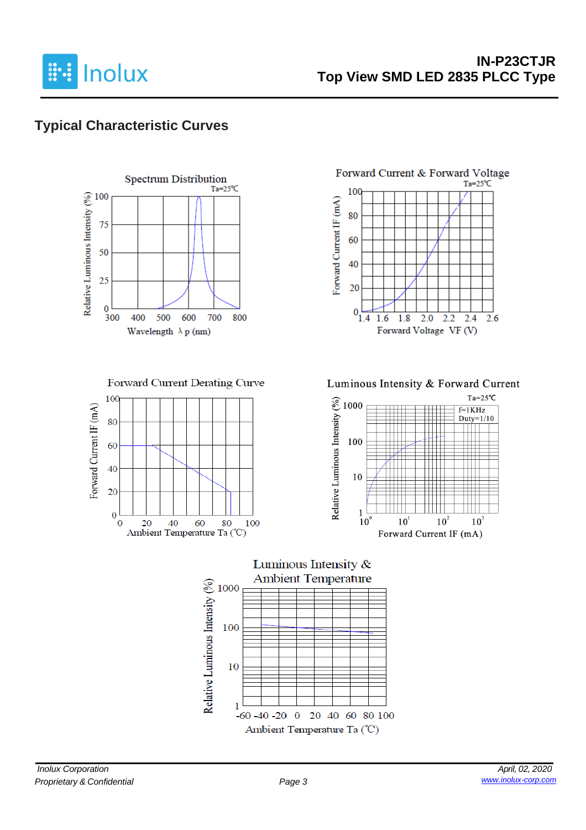

## **Typical Characteristic Curves**



Forward Current Derating Curve







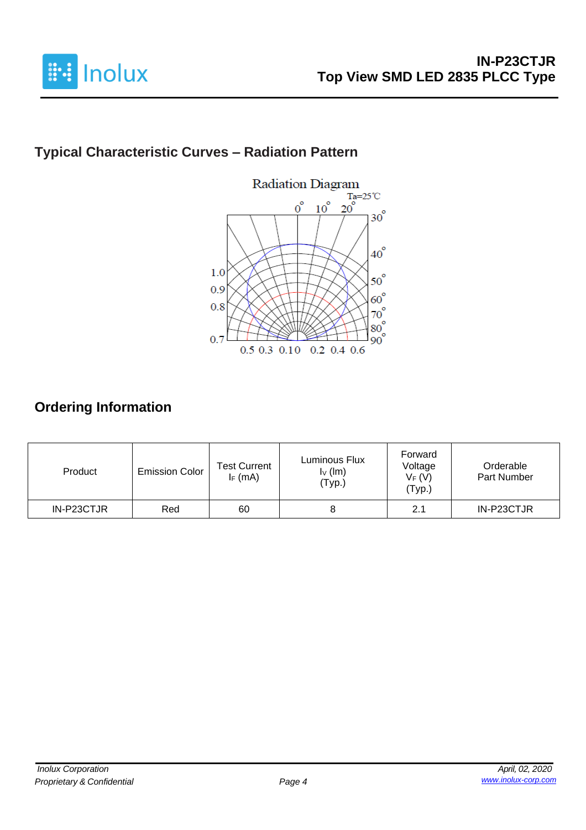

# **Typical Characteristic Curves – Radiation Pattern**



# **Ordering Information**

| Product    | <b>Emission Color</b> | <b>Test Current</b><br>$I_F$ (mA) | Luminous Flux<br>$I_V$ (lm)<br>(Typ.) | Forward<br>Voltage<br>$V_F(V)$<br>(Typ.) | Orderable<br>Part Number |
|------------|-----------------------|-----------------------------------|---------------------------------------|------------------------------------------|--------------------------|
| IN-P23CTJR | Red                   | 60                                |                                       | 2.1                                      | IN-P23CTJR               |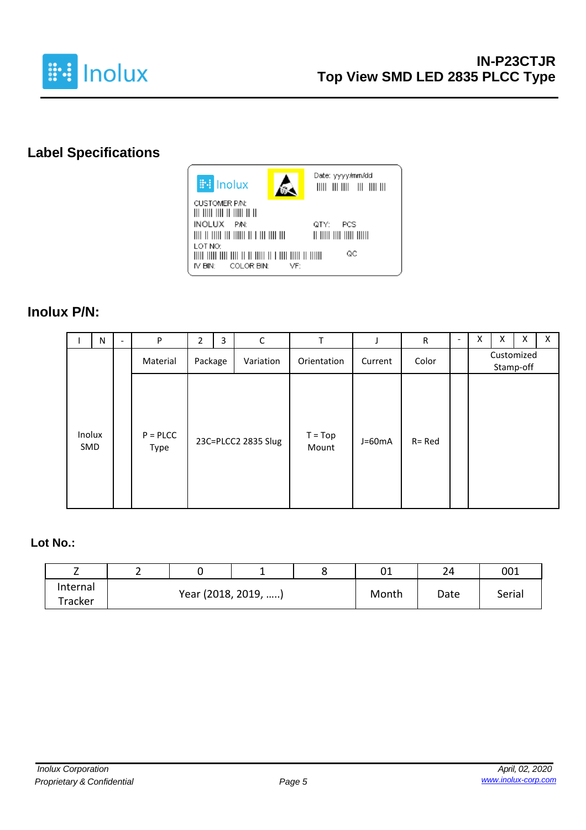

# **Label Specifications**



VF:

COLOR BIN:

IV BIN:

Date: yyyy/mm/dd 

QTY: PCS  $\mathsf{QC}$ THE THE THE THE TELL THE THE TELL THE THEFT II THEFT

#### **Inolux P/N:**

|               | N | $\overline{\phantom{a}}$ | P                  | 2                    | 3 | $\mathsf C$         | T                  |          | $\mathsf R$ | $\overline{\phantom{a}}$ | Χ | X | x | X |
|---------------|---|--------------------------|--------------------|----------------------|---|---------------------|--------------------|----------|-------------|--------------------------|---|---|---|---|
|               |   |                          | Material           | Package<br>Variation |   | Orientation         | Current            | Color    |             | Customized<br>Stamp-off  |   |   |   |   |
| Inolux<br>SMD |   |                          | $P = PLCC$<br>Type |                      |   | 23C=PLCC2 2835 Slug | $T = Top$<br>Mount | $J=60mA$ | $R = Red$   |                          |   |   |   |   |

#### **Lot No.:**

|          |                     |  |       | ◡⊥   | 24     | 001 |
|----------|---------------------|--|-------|------|--------|-----|
| Internal |                     |  | Month |      |        |     |
| Tracker  | Year (2018, 2019, ) |  |       | Date | Serial |     |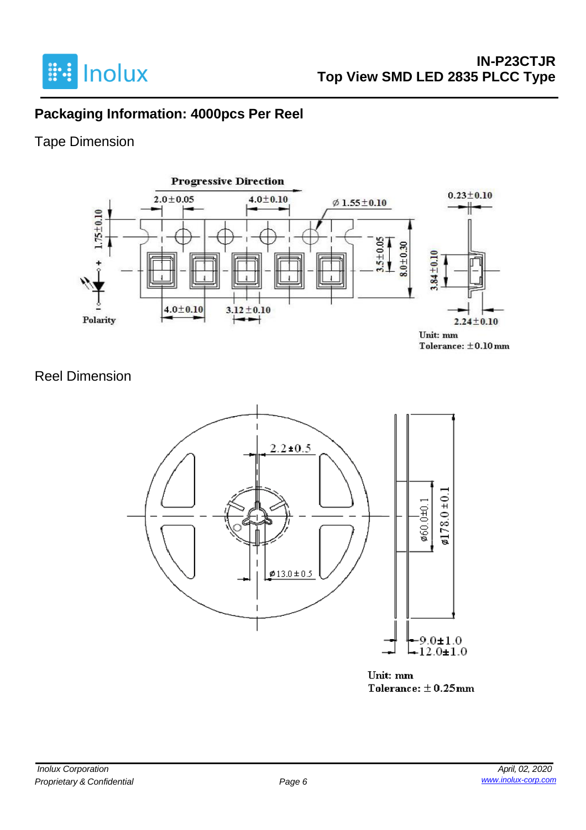

### **Packaging Information: 4000pcs Per Reel**

### Tape Dimension



#### Reel Dimension



Unit: mm Tolerance:  $\pm$  0.25mm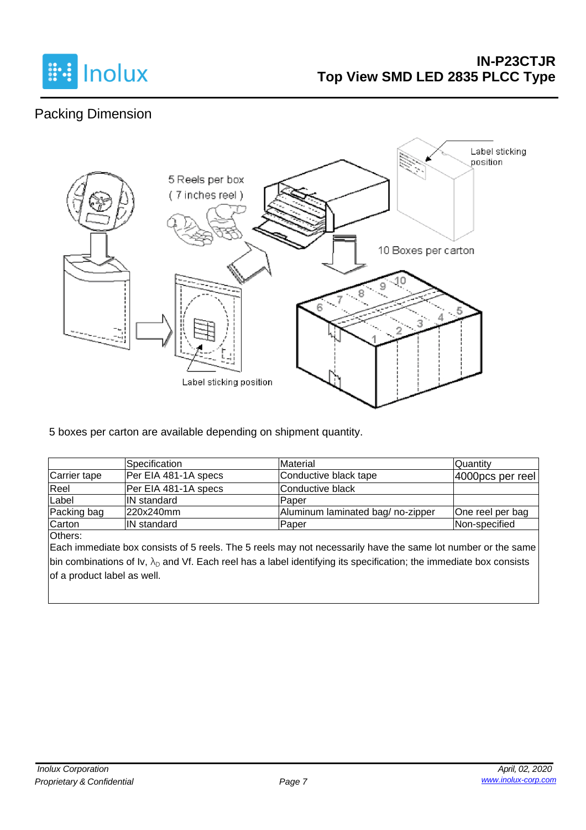

## Packing Dimension



5 boxes per carton are available depending on shipment quantity.

|              | Specification        | Material                         | Quantity         |
|--------------|----------------------|----------------------------------|------------------|
| Carrier tape | Per EIA 481-1A specs | Conductive black tape            | 4000pcs per reel |
| Reel         | Per EIA 481-1A specs | lConductive black                |                  |
| Label        | <b>IN</b> standard   | lPaper                           |                  |
| Packing bag  | 220x240mm            | Aluminum laminated bag/no-zipper | One reel per bag |
| Carton       | <b>IN standard</b>   | Paper                            | Non-specified    |

Others:

Each immediate box consists of 5 reels. The 5 reels may not necessarily have the same lot number or the same bin combinations of Iv,  $\lambda_D$  and Vf. Each reel has a label identifying its specification; the immediate box consists of a product label as well.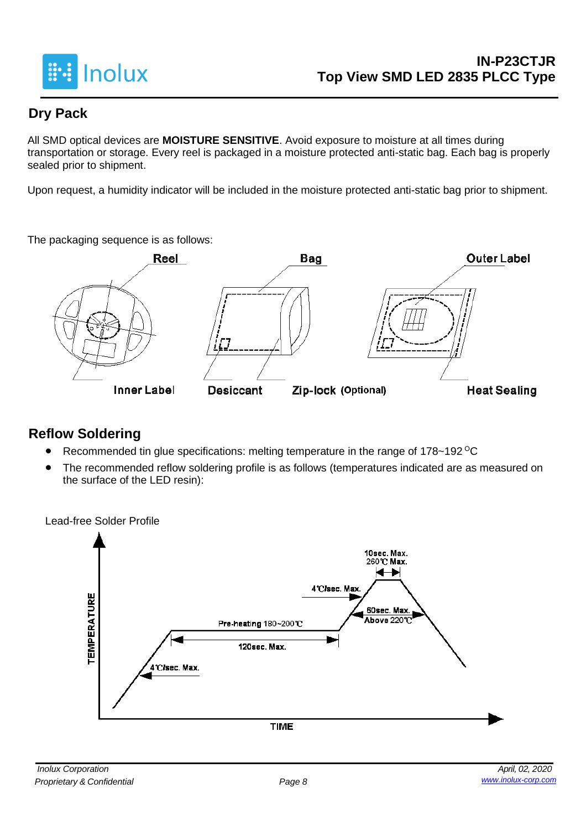

### **Dry Pack**

All SMD optical devices are **MOISTURE SENSITIVE**. Avoid exposure to moisture at all times during transportation or storage. Every reel is packaged in a moisture protected anti-static bag. Each bag is properly sealed prior to shipment.

Upon request, a humidity indicator will be included in the moisture protected anti-static bag prior to shipment.

The packaging sequence is as follows:



#### **Reflow Soldering**

- Recommended tin glue specifications: melting temperature in the range of 178~192 <sup>o</sup>C
- The recommended reflow soldering profile is as follows (temperatures indicated are as measured on the surface of the LED resin):

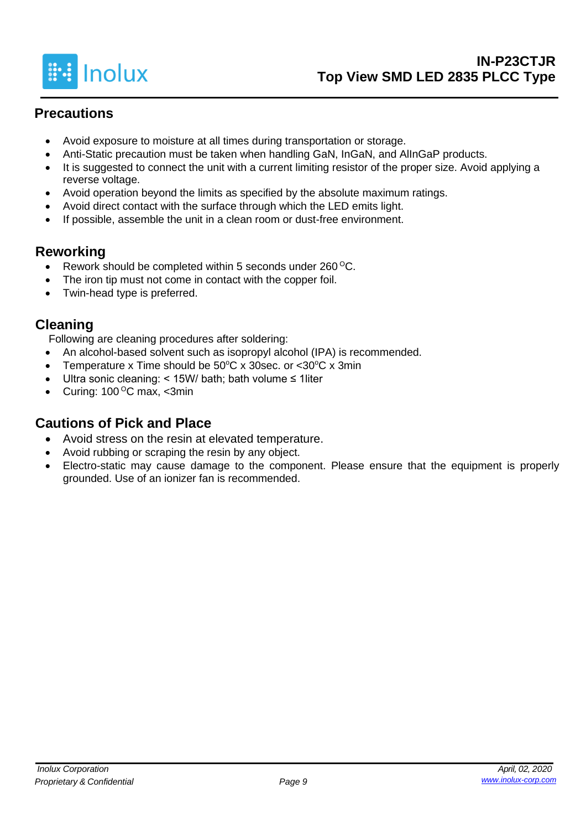

#### **Precautions**

- Avoid exposure to moisture at all times during transportation or storage.
- Anti-Static precaution must be taken when handling GaN, InGaN, and AlInGaP products.
- It is suggested to connect the unit with a current limiting resistor of the proper size. Avoid applying a reverse voltage.
- Avoid operation beyond the limits as specified by the absolute maximum ratings.
- Avoid direct contact with the surface through which the LED emits light.
- If possible, assemble the unit in a clean room or dust-free environment.

#### **Reworking**

- Rework should be completed within 5 seconds under  $260^{\circ}$ C.
- The iron tip must not come in contact with the copper foil.
- Twin-head type is preferred.

#### **Cleaning**

Following are cleaning procedures after soldering:

- An alcohol-based solvent such as isopropyl alcohol (IPA) is recommended.
- Temperature x Time should be  $50^{\circ}$ C x 30sec. or <30 $^{\circ}$ C x 3min
- Ultra sonic cleaning: < 15W/ bath; bath volume ≤ 1liter
- Curing:  $100^{\circ}$ C max, <3min

#### **Cautions of Pick and Place**

- Avoid stress on the resin at elevated temperature.
- Avoid rubbing or scraping the resin by any object.
- Electro-static may cause damage to the component. Please ensure that the equipment is properly grounded. Use of an ionizer fan is recommended.